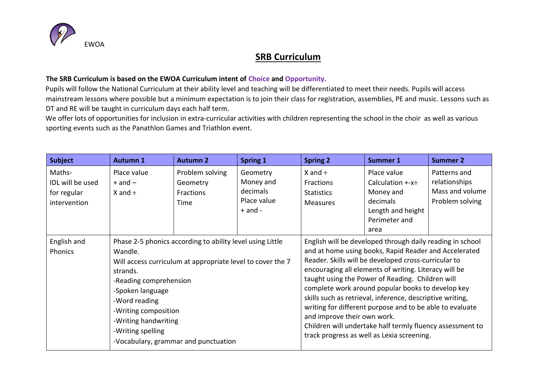

## **SRB Curriculum**

## **The SRB Curriculum is based on the EWOA Curriculum intent of Choice and Opportunity.**

Pupils will follow the National Curriculum at their ability level and teaching will be differentiated to meet their needs. Pupils will access mainstream lessons where possible but a minimum expectation is to join their class for registration, assemblies, PE and music. Lessons such as DT and RE will be taught in curriculum days each half term.

We offer lots of opportunities for inclusion in extra-curricular activities with children representing the school in the choir as well as various sporting events such as the Panathlon Games and Triathlon event.

| <b>Subject</b>                                            | <b>Autumn 1</b>                                                                                                                                                                                                                                                                                                            | <b>Autumn 2</b>                                  | <b>Spring 1</b>                                                 | <b>Spring 2</b>                                                                                                                                                                                                                                                                                                                                                                                                                                                                                                                                                                                                 | <b>Summer 1</b>                                                                                        | <b>Summer 2</b>                                                     |
|-----------------------------------------------------------|----------------------------------------------------------------------------------------------------------------------------------------------------------------------------------------------------------------------------------------------------------------------------------------------------------------------------|--------------------------------------------------|-----------------------------------------------------------------|-----------------------------------------------------------------------------------------------------------------------------------------------------------------------------------------------------------------------------------------------------------------------------------------------------------------------------------------------------------------------------------------------------------------------------------------------------------------------------------------------------------------------------------------------------------------------------------------------------------------|--------------------------------------------------------------------------------------------------------|---------------------------------------------------------------------|
| Maths-<br>IDL will be used<br>for regular<br>intervention | Place value<br>$+$ and $-$<br>$X$ and $\div$                                                                                                                                                                                                                                                                               | Problem solving<br>Geometry<br>Fractions<br>Time | Geometry<br>Money and<br>decimals<br>Place value<br>$+$ and $-$ | $X$ and $\div$<br>Fractions<br><b>Statistics</b><br><b>Measures</b>                                                                                                                                                                                                                                                                                                                                                                                                                                                                                                                                             | Place value<br>Calculation +-x÷<br>Money and<br>decimals<br>Length and height<br>Perimeter and<br>area | Patterns and<br>relationships<br>Mass and volume<br>Problem solving |
| English and<br>Phonics                                    | Phase 2-5 phonics according to ability level using Little<br>Wandle.<br>Will access curriculum at appropriate level to cover the 7<br>strands.<br>-Reading comprehension<br>-Spoken language<br>-Word reading<br>-Writing composition<br>-Writing handwriting<br>-Writing spelling<br>-Vocabulary, grammar and punctuation |                                                  |                                                                 | English will be developed through daily reading in school<br>and at home using books, Rapid Reader and Accelerated<br>Reader. Skills will be developed cross-curricular to<br>encouraging all elements of writing. Literacy will be<br>taught using the Power of Reading. Children will<br>complete work around popular books to develop key<br>skills such as retrieval, inference, descriptive writing,<br>writing for different purpose and to be able to evaluate<br>and improve their own work.<br>Children will undertake half termly fluency assessment to<br>track progress as well as Lexia screening. |                                                                                                        |                                                                     |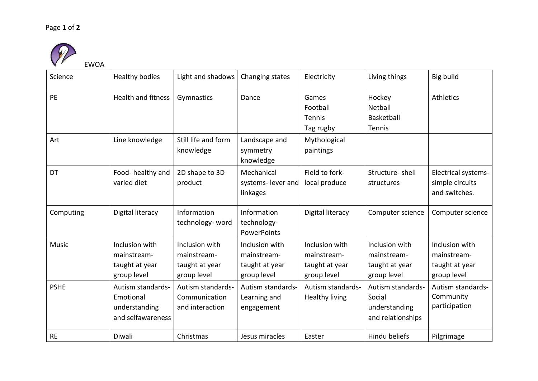## Page **1** of **2**



| Science      | <b>Healthy bodies</b>                                                | Light and shadows                                              | Changing states                                                | Electricity                                                    | Living things                                                     | Big build                                                      |
|--------------|----------------------------------------------------------------------|----------------------------------------------------------------|----------------------------------------------------------------|----------------------------------------------------------------|-------------------------------------------------------------------|----------------------------------------------------------------|
| PE           | <b>Health and fitness</b>                                            | Gymnastics                                                     | Dance                                                          | Games<br>Football<br>Tennis<br>Tag rugby                       | Hockey<br>Netball<br>Basketball<br>Tennis                         | <b>Athletics</b>                                               |
| Art          | Line knowledge                                                       | Still life and form<br>knowledge                               | Landscape and<br>symmetry<br>knowledge                         | Mythological<br>paintings                                      |                                                                   |                                                                |
| DT           | Food-healthy and<br>varied diet                                      | 2D shape to 3D<br>product                                      | Mechanical<br>systems- lever and<br>linkages                   | Field to fork-<br>local produce                                | Structure-shell<br>structures                                     | Electrical systems-<br>simple circuits<br>and switches.        |
| Computing    | Digital literacy                                                     | Information<br>technology- word                                | Information<br>technology-<br><b>PowerPoints</b>               | Digital literacy                                               | Computer science                                                  | Computer science                                               |
| <b>Music</b> | Inclusion with<br>mainstream-<br>taught at year<br>group level       | Inclusion with<br>mainstream-<br>taught at year<br>group level | Inclusion with<br>mainstream-<br>taught at year<br>group level | Inclusion with<br>mainstream-<br>taught at year<br>group level | Inclusion with<br>mainstream-<br>taught at year<br>group level    | Inclusion with<br>mainstream-<br>taught at year<br>group level |
| <b>PSHE</b>  | Autism standards-<br>Emotional<br>understanding<br>and selfawareness | Autism standards-<br>Communication<br>and interaction          | Autism standards-<br>Learning and<br>engagement                | Autism standards-<br><b>Healthy living</b>                     | Autism standards-<br>Social<br>understanding<br>and relationships | Autism standards-<br>Community<br>participation                |
| <b>RE</b>    | Diwali                                                               | Christmas                                                      | Jesus miracles                                                 | Easter                                                         | Hindu beliefs                                                     | Pilgrimage                                                     |